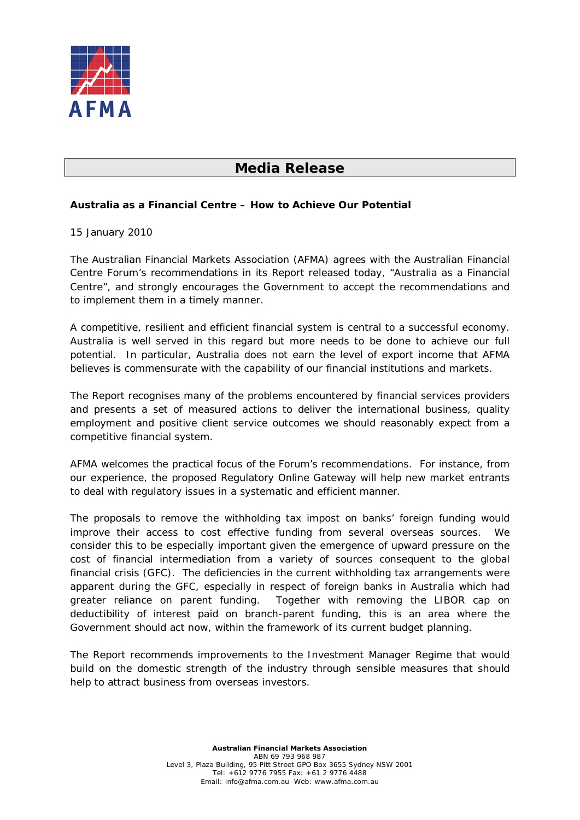

## **Media Release**

## **Australia as a Financial Centre – How to Achieve Our Potential**

## 15 January 2010

The Australian Financial Markets Association (AFMA) agrees with the Australian Financial Centre Forum's recommendations in its Report released today, "Australia as a Financial Centre", and strongly encourages the Government to accept the recommendations and to implement them in a timely manner.

A competitive, resilient and efficient financial system is central to a successful economy. Australia is well served in this regard but more needs to be done to achieve our full potential. In particular, Australia does not earn the level of export income that AFMA believes is commensurate with the capability of our financial institutions and markets.

The Report recognises many of the problems encountered by financial services providers and presents a set of measured actions to deliver the international business, quality employment and positive client service outcomes we should reasonably expect from a competitive financial system.

AFMA welcomes the practical focus of the Forum's recommendations. For instance, from our experience, the proposed Regulatory Online Gateway will help new market entrants to deal with regulatory issues in a systematic and efficient manner.

The proposals to remove the withholding tax impost on banks' foreign funding would improve their access to cost effective funding from several overseas sources. We consider this to be especially important given the emergence of upward pressure on the cost of financial intermediation from a variety of sources consequent to the global financial crisis (GFC). The deficiencies in the current withholding tax arrangements were apparent during the GFC, especially in respect of foreign banks in Australia which had greater reliance on parent funding. Together with removing the LIBOR cap on deductibility of interest paid on branch-parent funding, this is an area where the Government should act now, within the framework of its current budget planning.

The Report recommends improvements to the Investment Manager Regime that would build on the domestic strength of the industry through sensible measures that should help to attract business from overseas investors.